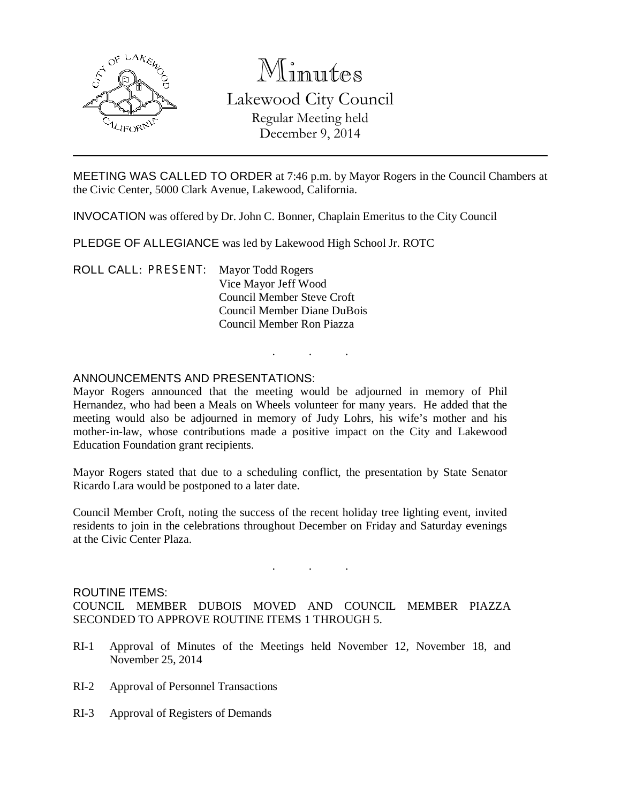

# Minutes

# Lakewood City Council Regular Meeting held December 9, 2014

MEETING WAS CALLED TO ORDER at 7:46 p.m. by Mayor Rogers in the Council Chambers at the Civic Center, 5000 Clark Avenue, Lakewood, California.

INVOCATION was offered by Dr. John C. Bonner, Chaplain Emeritus to the City Council

PLEDGE OF ALLEGIANCE was led by Lakewood High School Jr. ROTC

ROLL CALL: PRESENT: Mayor Todd Rogers Vice Mayor Jeff Wood Council Member Steve Croft Council Member Diane DuBois Council Member Ron Piazza

### ANNOUNCEMENTS AND PRESENTATIONS:

Mayor Rogers announced that the meeting would be adjourned in memory of Phil Hernandez, who had been a Meals on Wheels volunteer for many years. He added that the meeting would also be adjourned in memory of Judy Lohrs, his wife's mother and his mother-in-law, whose contributions made a positive impact on the City and Lakewood Education Foundation grant recipients.

. . .

Mayor Rogers stated that due to a scheduling conflict, the presentation by State Senator Ricardo Lara would be postponed to a later date.

Council Member Croft, noting the success of the recent holiday tree lighting event, invited residents to join in the celebrations throughout December on Friday and Saturday evenings at the Civic Center Plaza.

#### ROUTINE ITEMS:

COUNCIL MEMBER DUBOIS MOVED AND COUNCIL MEMBER PIAZZA SECONDED TO APPROVE ROUTINE ITEMS 1 THROUGH 5.

. . .

- RI-1 Approval of Minutes of the Meetings held November 12, November 18, and November 25, 2014
- RI-2 Approval of Personnel Transactions
- RI-3 Approval of Registers of Demands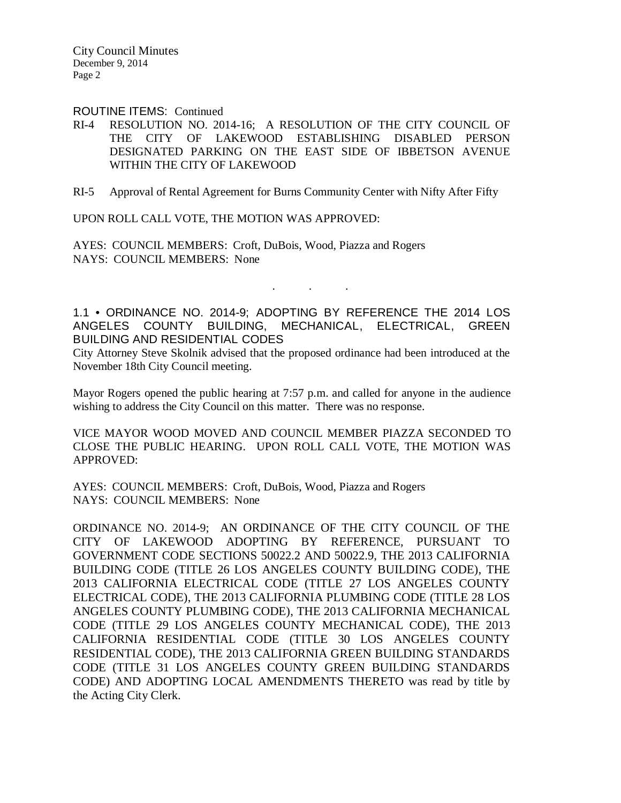City Council Minutes December 9, 2014 Page 2

ROUTINE ITEMS: Continued

- RI-4 RESOLUTION NO. 2014-16; A RESOLUTION OF THE CITY COUNCIL OF THE CITY OF LAKEWOOD ESTABLISHING DISABLED PERSON DESIGNATED PARKING ON THE EAST SIDE OF IBBETSON AVENUE WITHIN THE CITY OF LAKEWOOD
- RI-5 Approval of Rental Agreement for Burns Community Center with Nifty After Fifty

UPON ROLL CALL VOTE, THE MOTION WAS APPROVED:

AYES: COUNCIL MEMBERS: Croft, DuBois, Wood, Piazza and Rogers NAYS: COUNCIL MEMBERS: None

1.1 • ORDINANCE NO. 2014-9; ADOPTING BY REFERENCE THE 2014 LOS ANGELES COUNTY BUILDING, MECHANICAL, ELECTRICAL, GREEN BUILDING AND RESIDENTIAL CODES

. . .

City Attorney Steve Skolnik advised that the proposed ordinance had been introduced at the November 18th City Council meeting.

Mayor Rogers opened the public hearing at 7:57 p.m. and called for anyone in the audience wishing to address the City Council on this matter. There was no response.

VICE MAYOR WOOD MOVED AND COUNCIL MEMBER PIAZZA SECONDED TO CLOSE THE PUBLIC HEARING. UPON ROLL CALL VOTE, THE MOTION WAS APPROVED:

AYES: COUNCIL MEMBERS: Croft, DuBois, Wood, Piazza and Rogers NAYS: COUNCIL MEMBERS: None

ORDINANCE NO. 2014-9; AN ORDINANCE OF THE CITY COUNCIL OF THE CITY OF LAKEWOOD ADOPTING BY REFERENCE, PURSUANT TO GOVERNMENT CODE SECTIONS 50022.2 AND 50022.9, THE 2013 CALIFORNIA BUILDING CODE (TITLE 26 LOS ANGELES COUNTY BUILDING CODE), THE 2013 CALIFORNIA ELECTRICAL CODE (TITLE 27 LOS ANGELES COUNTY ELECTRICAL CODE), THE 2013 CALIFORNIA PLUMBING CODE (TITLE 28 LOS ANGELES COUNTY PLUMBING CODE), THE 2013 CALIFORNIA MECHANICAL CODE (TITLE 29 LOS ANGELES COUNTY MECHANICAL CODE), THE 2013 CALIFORNIA RESIDENTIAL CODE (TITLE 30 LOS ANGELES COUNTY RESIDENTIAL CODE), THE 2013 CALIFORNIA GREEN BUILDING STANDARDS CODE (TITLE 31 LOS ANGELES COUNTY GREEN BUILDING STANDARDS CODE) AND ADOPTING LOCAL AMENDMENTS THERETO was read by title by the Acting City Clerk.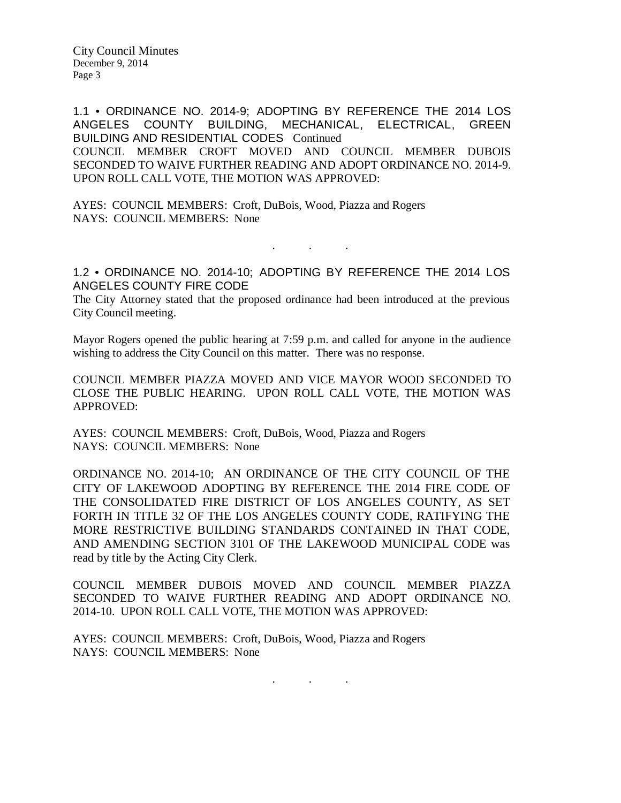City Council Minutes December 9, 2014 Page 3

1.1 • ORDINANCE NO. 2014-9; ADOPTING BY REFERENCE THE 2014 LOS ANGELES COUNTY BUILDING, MECHANICAL, ELECTRICAL, GREEN BUILDING AND RESIDENTIAL CODES Continued

COUNCIL MEMBER CROFT MOVED AND COUNCIL MEMBER DUBOIS SECONDED TO WAIVE FURTHER READING AND ADOPT ORDINANCE NO. 2014-9. UPON ROLL CALL VOTE, THE MOTION WAS APPROVED:

AYES: COUNCIL MEMBERS: Croft, DuBois, Wood, Piazza and Rogers NAYS: COUNCIL MEMBERS: None

1.2 • ORDINANCE NO. 2014-10; ADOPTING BY REFERENCE THE 2014 LOS ANGELES COUNTY FIRE CODE

. . .

The City Attorney stated that the proposed ordinance had been introduced at the previous City Council meeting.

Mayor Rogers opened the public hearing at 7:59 p.m. and called for anyone in the audience wishing to address the City Council on this matter. There was no response.

COUNCIL MEMBER PIAZZA MOVED AND VICE MAYOR WOOD SECONDED TO CLOSE THE PUBLIC HEARING. UPON ROLL CALL VOTE, THE MOTION WAS APPROVED:

AYES: COUNCIL MEMBERS: Croft, DuBois, Wood, Piazza and Rogers NAYS: COUNCIL MEMBERS: None

ORDINANCE NO. 2014-10; AN ORDINANCE OF THE CITY COUNCIL OF THE CITY OF LAKEWOOD ADOPTING BY REFERENCE THE 2014 FIRE CODE OF THE CONSOLIDATED FIRE DISTRICT OF LOS ANGELES COUNTY, AS SET FORTH IN TITLE 32 OF THE LOS ANGELES COUNTY CODE, RATIFYING THE MORE RESTRICTIVE BUILDING STANDARDS CONTAINED IN THAT CODE, AND AMENDING SECTION 3101 OF THE LAKEWOOD MUNICIPAL CODE was read by title by the Acting City Clerk.

COUNCIL MEMBER DUBOIS MOVED AND COUNCIL MEMBER PIAZZA SECONDED TO WAIVE FURTHER READING AND ADOPT ORDINANCE NO. 2014-10. UPON ROLL CALL VOTE, THE MOTION WAS APPROVED:

AYES: COUNCIL MEMBERS: Croft, DuBois, Wood, Piazza and Rogers NAYS: COUNCIL MEMBERS: None

. . .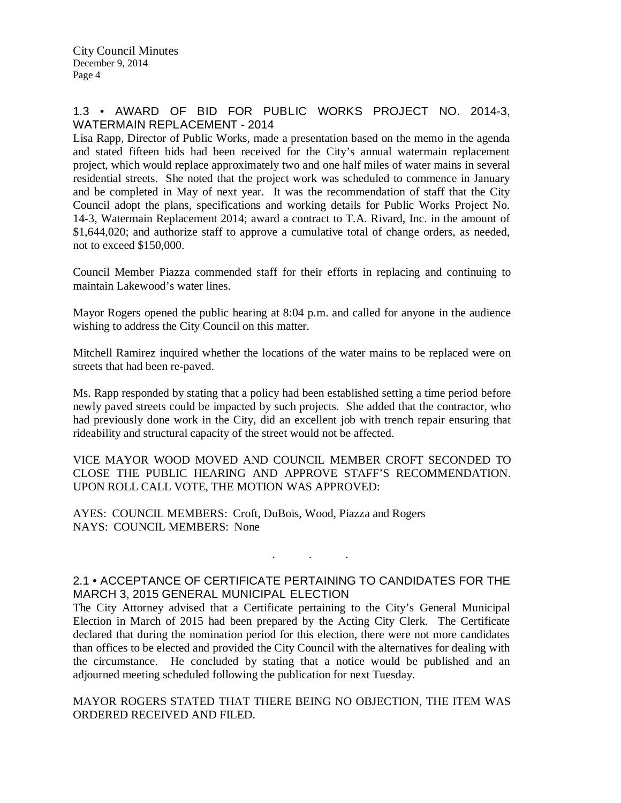### 1.3 • AWARD OF BID FOR PUBLIC WORKS PROJECT NO. 2014-3, WATERMAIN REPLACEMENT - 2014

Lisa Rapp, Director of Public Works, made a presentation based on the memo in the agenda and stated fifteen bids had been received for the City's annual watermain replacement project, which would replace approximately two and one half miles of water mains in several residential streets. She noted that the project work was scheduled to commence in January and be completed in May of next year. It was the recommendation of staff that the City Council adopt the plans, specifications and working details for Public Works Project No. 14-3, Watermain Replacement 2014; award a contract to T.A. Rivard, Inc. in the amount of \$1,644,020; and authorize staff to approve a cumulative total of change orders, as needed, not to exceed \$150,000.

Council Member Piazza commended staff for their efforts in replacing and continuing to maintain Lakewood's water lines.

Mayor Rogers opened the public hearing at 8:04 p.m. and called for anyone in the audience wishing to address the City Council on this matter.

Mitchell Ramirez inquired whether the locations of the water mains to be replaced were on streets that had been re-paved.

Ms. Rapp responded by stating that a policy had been established setting a time period before newly paved streets could be impacted by such projects. She added that the contractor, who had previously done work in the City, did an excellent job with trench repair ensuring that rideability and structural capacity of the street would not be affected.

VICE MAYOR WOOD MOVED AND COUNCIL MEMBER CROFT SECONDED TO CLOSE THE PUBLIC HEARING AND APPROVE STAFF'S RECOMMENDATION. UPON ROLL CALL VOTE, THE MOTION WAS APPROVED:

AYES: COUNCIL MEMBERS: Croft, DuBois, Wood, Piazza and Rogers NAYS: COUNCIL MEMBERS: None

# 2.1 • ACCEPTANCE OF CERTIFICATE PERTAINING TO CANDIDATES FOR THE MARCH 3, 2015 GENERAL MUNICIPAL ELECTION

. . .

The City Attorney advised that a Certificate pertaining to the City's General Municipal Election in March of 2015 had been prepared by the Acting City Clerk. The Certificate declared that during the nomination period for this election, there were not more candidates than offices to be elected and provided the City Council with the alternatives for dealing with the circumstance. He concluded by stating that a notice would be published and an adjourned meeting scheduled following the publication for next Tuesday.

MAYOR ROGERS STATED THAT THERE BEING NO OBJECTION, THE ITEM WAS ORDERED RECEIVED AND FILED.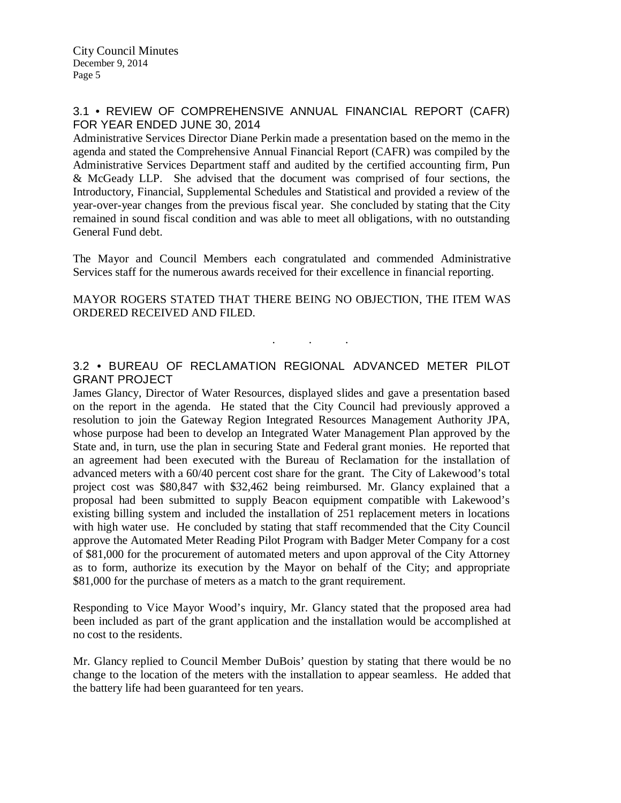# 3.1 • REVIEW OF COMPREHENSIVE ANNUAL FINANCIAL REPORT (CAFR) FOR YEAR ENDED JUNE 30, 2014

Administrative Services Director Diane Perkin made a presentation based on the memo in the agenda and stated the Comprehensive Annual Financial Report (CAFR) was compiled by the Administrative Services Department staff and audited by the certified accounting firm, Pun & McGeady LLP. She advised that the document was comprised of four sections, the Introductory, Financial, Supplemental Schedules and Statistical and provided a review of the year-over-year changes from the previous fiscal year. She concluded by stating that the City remained in sound fiscal condition and was able to meet all obligations, with no outstanding General Fund debt.

The Mayor and Council Members each congratulated and commended Administrative Services staff for the numerous awards received for their excellence in financial reporting.

#### MAYOR ROGERS STATED THAT THERE BEING NO OBJECTION, THE ITEM WAS ORDERED RECEIVED AND FILED.

### 3.2 • BUREAU OF RECLAMATION REGIONAL ADVANCED METER PILOT GRANT PROJECT

. . .

James Glancy, Director of Water Resources, displayed slides and gave a presentation based on the report in the agenda. He stated that the City Council had previously approved a resolution to join the Gateway Region Integrated Resources Management Authority JPA, whose purpose had been to develop an Integrated Water Management Plan approved by the State and, in turn, use the plan in securing State and Federal grant monies. He reported that an agreement had been executed with the Bureau of Reclamation for the installation of advanced meters with a 60/40 percent cost share for the grant. The City of Lakewood's total project cost was \$80,847 with \$32,462 being reimbursed. Mr. Glancy explained that a proposal had been submitted to supply Beacon equipment compatible with Lakewood's existing billing system and included the installation of 251 replacement meters in locations with high water use. He concluded by stating that staff recommended that the City Council approve the Automated Meter Reading Pilot Program with Badger Meter Company for a cost of \$81,000 for the procurement of automated meters and upon approval of the City Attorney as to form, authorize its execution by the Mayor on behalf of the City; and appropriate \$81,000 for the purchase of meters as a match to the grant requirement.

Responding to Vice Mayor Wood's inquiry, Mr. Glancy stated that the proposed area had been included as part of the grant application and the installation would be accomplished at no cost to the residents.

Mr. Glancy replied to Council Member DuBois' question by stating that there would be no change to the location of the meters with the installation to appear seamless. He added that the battery life had been guaranteed for ten years.